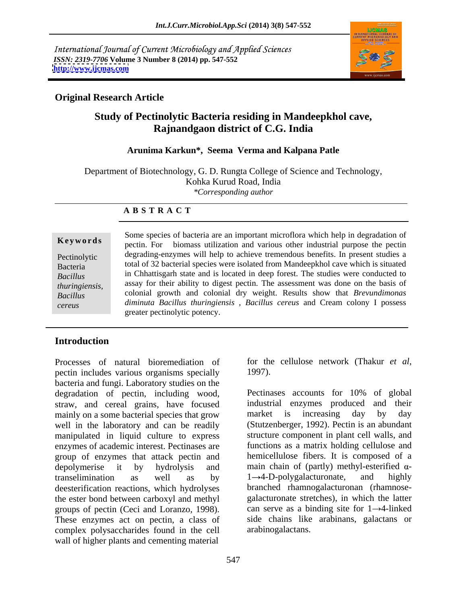International Journal of Current Microbiology and Applied Sciences *ISSN: 2319-7706* **Volume 3 Number 8 (2014) pp. 547-552 <http://www.ijcmas.com>**



## **Original Research Article**

# **Study of Pectinolytic Bacteria residing in Mandeepkhol cave, Rajnandgaon district of C.G. India**

### **Arunima Karkun\*, Seema Verma and Kalpana Patle**

Department of Biotechnology, G. D. Rungta College of Science and Technology, Kohka Kurud Road, India *\*Corresponding author*

#### **A B S T R A C T**

**Keywords** both spectes of success and the perturbation interesting which help in degliadation of pectin. For biomass utilization and various other industrial purpose the pectin Pectinolytic degrading-enzymes will help to achieve tremendous benefits. In present studies a Bacteria total of 32 bacterial species were isolated from Mandeepkhol cave which is situated *Bacillus*  in Chhattisgarh state and is located in deep forest. The studies were conducted to *thuringiensis,*  assay for their ability to digest pectin. The assessment was done on the basis of *Bacillus*  colonial growth and colonial dry weight. Results show that *Brevundimonas cereus diminuta Bacillus thuringiensis* , *Bacillus cereus* and Cream colony I possess Some species of bacteria are an important microflora which help in degradation of greater pectinolytic potency.

## **Introduction**

Processes of natural bioremediation of for the cellulose network (Thakur et al, pectin includes various organisms specially 1997). bacteria and fungi. Laboratory studies on the degradation of pectin, including wood, Pectinases accounts for 10% of global straw, and cereal grains, have focused mainly on a some bacterial species that grow market is increasing day by day well in the laboratory and can be readily (Stutzenberger, 1992). Pectin is an abundant manipulated in liquid culture to express enzymes of academic interest. Pectinases are group of enzymes that attack pectin and depolymerise it by hydrolysis and main chain of (partly) methyl-esterified  $\alpha$ transelimination as well as by  $1\rightarrow 4$ -D-polygalacturonate, and highly deesterification reactions, which hydrolyses the ester bond between carboxyl and methyl groups of pectin (Ceci and Loranzo, 1998). These enzymes act on pectin, a class of side chains like arabinans, galactans or complex polysaccharides found in the cell wall of higher plants and cementing material

for the cellulose network (Thakur *et al*, 1997).

Pectinases accounts for 10% of global industrial enzymes produced market is increasing day by day structure component in plant cell walls, and functions as a matrix holding cellulose and hemicellulose fibers. It is composed of a  $1 \rightarrow 4$ -D-polygalacturonate, and highly branched rhamnogalacturonan (rhamnose galacturonate stretches), in which the latter can serve as a binding site for  $1 \rightarrow 4$ -linked arabinogalactans.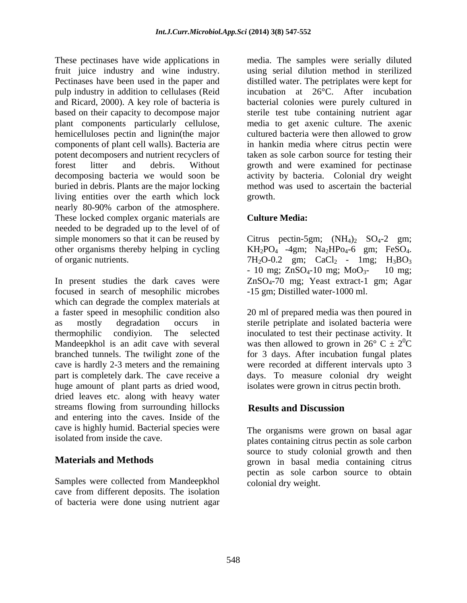These pectinases have wide applications in media. The samples were serially diluted fruit juice industry and wine industry. Pectinases have been used in the paper and distilled water. The petriplates were kept for pulp industry in addition to cellulases (Reid incubation at 26°C. After incubation and Ricard, 2000). A key role of bacteria is bacterial colonies were purely cultured in based on their capacity to decompose major sterile test tube containing nutrient agar plant components particularly cellulose, media to get axenic culture. The axenic hemicelluloses pectin and lignin(the major components of plant cell walls). Bacteria are in hankin media where citrus pectin were potent decomposers and nutrient recyclers of taken as sole carbon source for testing their forest litter and debris. Without growth and were examined for pectinase decomposing bacteria we would soon be activity by bacteria. Colonial dry weight buried in debris. Plants are the major locking living entities over the earth which lock nearly 80-90% carbon of the atmosphere. These locked complex organic materials are **Culture Media:** needed to be degraded up to the level of of simple monomers so that it can be reused by Citrus pectin-5gm;  $(NH_4)_2$   $SO_4$ -2 gm; other organisms thereby helping in cycling  $KH_2PO_4$  -4gm;  $Na_2HPo_4$ -6 gm;  $FeSO_4$ . of organic nutrients.  $7H_2O-0.2$  gm;  $CaCl_2$  -  $1mg$ ;  $H_3BO_3$ 

In present studies the dark caves were  $ZnSO<sub>4</sub>-70$  mg; Yeast extract-1 gm; Agar focused in search of mesophilic microbes which can degrade the complex materials at a faster speed in mesophilic condition also 20 ml of prepared media was then poured in as mostly degradation occurs in sterile petriplate and isolated bacteria were thermophilic condiyion. The selected inoculated to test their pectinase activity.It Mandeepkhol is an adit cave with several was then allowed to grown in  $26^{\circ}$  C  $\pm 2^{\circ}$ C branched tunnels. The twilight zone of the for 3 days. After incubation fungal plates cave is hardly 2-3 meters and the remaining were recorded at different intervals upto 3 part is completely dark. The cave receive a days. To measure colonial dry weight huge amount of plant parts as dried wood, dried leaves etc. along with heavy water streams flowing from surrounding hillocks **Results and Discussion** and entering into the caves. Inside of the cave is highly humid. Bacterial species were<br>isolated from inside the cave.

Samples were collected from Mandeepkhol cave from different deposits. The isolation of bacteria were done using nutrient agar using serial dilution method in sterilized cultured bacteria were then allowed to grow method was used to ascertain the bacterial growth. The contract of the contract of the contract of the contract of the contract of the contract of the contract of the contract of the contract of the contract of the contract of the contract of the contract of the co

## **Culture Media:**

 $KH_2PO_4$  -4gm; Na<sub>2</sub>HPo<sub>4</sub>-6 gm; FeSO<sub>4</sub>.<br>7H<sub>2</sub>O-0.2 gm; CaCl<sub>2</sub> - 1mg; H<sub>3</sub>BO<sub>3</sub><br>- 10 mg; ZnSO<sub>4</sub>-10 mg; MoO<sub>3</sub>- 10 mg; ZnSO4-70 mg; Yeast extract-1 gm; Agar -15 gm; Distilled water-1000 ml.

 ${}^{0}C$ isolates were grown in citrus pectin broth.

# **Results and Discussion**

isolated from inside the cave. plates containing citrus pectin as sole carbon **Materials and Methods grown** in basal media containing citrus The organisms were grown on basal agar source to study colonial growth and then pectin as sole carbon source to obtain colonial dry weight.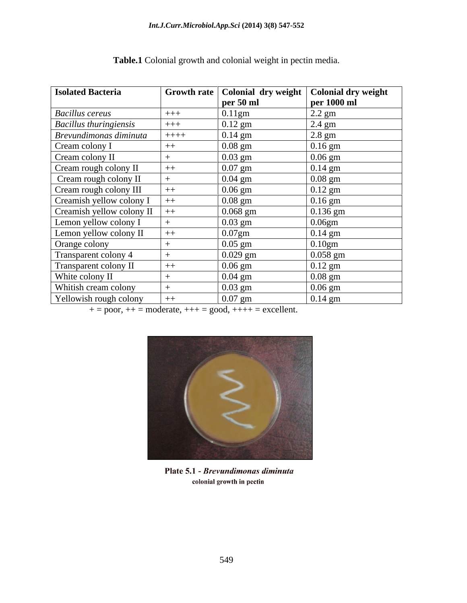| <b>Isolated Bacteria</b>               |        | Growth rate   Colonial dry weight   Colonial dry weight<br>$\vert$ per 50 ml | per 1000 ml |
|----------------------------------------|--------|------------------------------------------------------------------------------|-------------|
| <b>Bacillus cereus</b>                 | $+++$  | $\vert 0.11$ gm                                                              | $2.2$ gm    |
| <b>Bacillus thuringiensis</b>          | $+++$  | $0.12$ gm                                                                    | $2.4$ gm    |
| Brevundimonas diminuta                 | $++++$ | $0.14$ gm                                                                    | $2.8$ gm    |
| Cream colony I                         | $++$   | $0.08$ gm                                                                    | $0.16$ gm   |
| Cream colony II                        |        | $0.03$ gm                                                                    | $0.06$ gm   |
| Cream rough colony II                  |        | $0.07$ gm                                                                    | $0.14$ gm   |
| Cream rough colony II                  |        | $0.04$ gm                                                                    | $0.08$ gm   |
| Cream rough colony III                 |        | $0.06$ gm                                                                    | $0.12$ gm   |
| Creamish yellow colony I               | $++$   | $0.08$ gm                                                                    | $0.16$ gm   |
| $\text{Creamish yellow colony II }$ ++ |        | $0.068$ gm                                                                   | $0.136$ gm  |
| Lemon yellow colony I                  |        | $0.03$ gm                                                                    | $0.06$ gm   |
| Lemon yellow colony II                 |        | $0.07$ gm                                                                    | $0.14$ gm   |
| Orange colony                          |        | $0.05$ gm                                                                    | 0.10gm      |
| Transparent colony 4                   |        | $0.029$ gm                                                                   | $0.058$ gm  |
| Transparent colony II                  | $++$   | $0.06$ gm                                                                    | $0.12$ gm   |
| White colony II                        |        | $0.04$ gm                                                                    | $0.08$ gm   |
| Whitish cream colony                   |        | $0.03$ gm                                                                    | $0.06$ gm   |
| Yellowish rough colony                 | $++$   | $0.07$ gm                                                                    | $0.14$ gm   |

**Table.1** Colonial growth and colonial weight in pectin media.

 $+=$  poor,  $++$  = moderate,  $++$  = good,  $++$  + = excellent.



Plate 5.1 - Brevundimonas diminuta colonial growth in pectin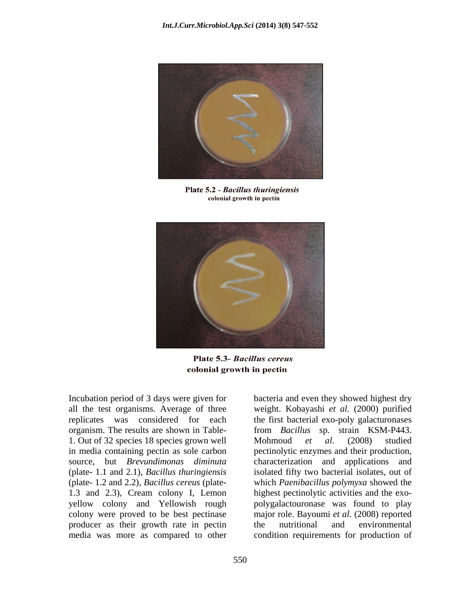

Plate 5.2 - Bacillus thuringiensis colonial growth in pectin



Plate 5.3- Bacillus cereus colonial growth in pectin

Incubation period of 3 days were given for bacteria and even they showed highest dry organism. The results are shown in Table- 1. Out of 32 species 18 species grown well Mohmoud *et al.* (2008) studied 1.3 and 2.3)*,* Cream colony I, Lemon colony were proved to be best pectinase major role. Bayoumi et al. (2008) reported producer as their growth rate in pectin the nutritional and environmental producer as their growth rate in pectin

all the test organisms. Average of three weight. Kobayashi *et al.* (2000) purified replicates was considered for each the first bacterial exo-poly galacturonases in media containing pectin as sole carbon pectinolytic enzymes and their production, source, but *Brevundimonas diminuta* characterization and applications and (plate- 1.1 and 2.1), *Bacillus thuringiensis* isolated fifty two bacterial isolates, out of (plate- 1.2 and 2.2)*, Bacillus cereus* (plate- which *Paenibacillus polymyxa* showed the yellow colony and Yellowish rough polygalactouronase was found to play media was more as compared to other condition requirements for production offrom *Bacillus* sp. strain KSM-P443. Mohmoud *et al*. (2008) studied highest pectinolytic activities and the exo major role. Bayoumi *et al.* (2008) reported the nutritional and environmental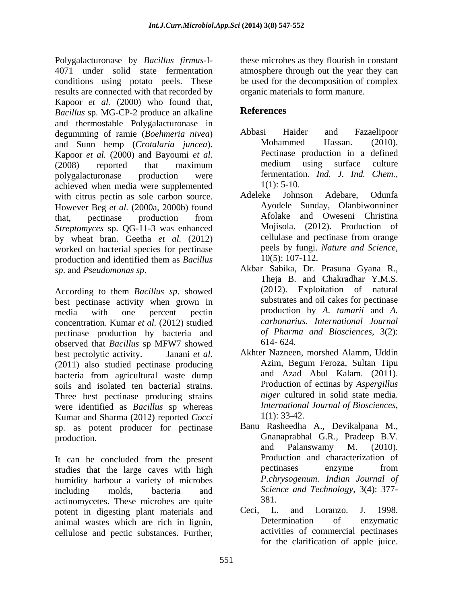Polygalacturonase by *Bacillus firmus*-I- these microbes as they flourish in constant 4071 under solid state fermentation atmosphere through out the year they can conditions using potato peels. These results are connected with that recorded by Kapoor *et al.* (2000) who found that,<br>Racillus sp MG CP 2 produce an alkaline **References** *Bacillus* sp. MG-CP-2 produce an alkaline and thermostable Polygalacturonase in<br>degumming of ramie (*Roehmeria nivea*) Abbasi Haider and Fazaelipoor degumming of ramie (*Boehmeria nivea*) Abbasi Haider and Fazaelipoor<br>and Sunn hemp (*Crotalaria inneea*) Mohammed Hassan. (2010). and Sunn hemp (*Crotalaria juncea*). Kapoor *et al.* (2000) and Bayoumi *et al.* Pectinase production in a defined (2008) reported that maximum medium using surface culture (2008) reported that maximum medium using surface culture polygalacturonase production were fermentation. *Ind. J. Ind. Chem.,* achieved when media were supplemented<br>with citrus pectin as sole carbon source<br>Adeleke Johnson Adebare. Odunfa with citrus pectin as sole carbon source. However Beg *et al.* (2000a, 2000b) found that, pectinase production from Afolake and Oweseni Christina *Streptomyces* sp. QG-11-3 was enhanced<br>
by wheat bran Geetha et al. (2012) Collulase and pectinase from orange by wheat bran. Geetha *et al.* (2012) cellulase and pectinase from orange worked on bacterial species for pectinase peels by fungi. Nature and Science, worked on bacterial species for pectinase  $\frac{\text{peels by fungi.}}{10(5): 107-112.}$ production and identified them as *Bacillus* 10(5): 107-112.

best pectinase activity when grown in media with one percent pectin **production** by A. tamarii and A. concentration. Kumar *et al.* (2012) studied pectinase production by bacteria and of Pharm<br>observed that Racillus sp MFW7 showed 614-624. observed that *Bacillus* sp MFW7 showed best pectolytic activity. Janani *et al*. Akhter Nazneen, morshed Alamm, Uddin (2011) also studied pectinase producing Azim, Begum Feroza, Sultan Tipu bacteria from agricultural waste dump soils and isolated ten bacterial strains. Three best pectinase producing strains were identified as *Bacillus* sp whereas *Internationa*<br>
Kumar and Sharma (2012) reported *Cocci* 1(1): 33-42. Kumar and Sharma (2012) reported *Cocci*<br>sp as notent producer for pectinase Banu Rasheedha A., Devikalpana M., sp. as potent producer for pectinase

It can be concluded from the present<br>studies that the large caves with high the pectinases enzyme from studies that the large caves with high humidity harbour a variety of microbes including molds, bacteria and *Science and Technology,* 3(4): 377 actinomycetes. These microbes are quite<br>
notent in digesting plant materials and Ceci, L. and Loranzo. J. potent in digesting plant materials and Ceci, L. and Loranzo. J. 1998.<br>
animal wastes which are rich in lignin Determination of enzymatic animal wastes which are rich in lignin, cellulose and pectic substances. Further,

be used for the decomposition of complex organic materials to form manure.

# **References**

- Abbasi Haider and Fazaelipoor Mohammed Hassan. (2010). Pectinase production in a defined medium using surface culture  $1(1)$ : 5-10.
- Adeleke Johnson Adebare, Odunfa Ayodele Sunday, Olanbiwonniner Afolake and Oweseni Christina Mojisola. (2012). Production of cellulase and pectinase from orange peels by fungi. *Nature and Science*, 10(5): 107-112.
- *sp*. and *Pseudomonas sp.* Akbar Sabika, Dr. Prasuna Gyana R.,<br>
Theja B. and Chakradhar Y.M.S.<br>
According to them *Bacillus sp*. showed (2012). Exploitation of natural Akbar Sabika, Dr. Prasuna Gyana R., Theja B. and Chakradhar Y.M.S. (2012). Exploitation of natural substrates and oil cakes for pectinase production by *A. tamarii* and *A. carbonarius*. *International Journal of Pharma and Biosciences*, 3(2): 614- 624.
	- Akhter Nazneen, morshed Alamm, Uddin Azim, Begum Feroza, Sultan Tipu and Azad Abul Kalam. (2011). Production of ectinas by *Aspergillus niger* cultured in solid state media. *International Journal of Biosciences,*
- production. Chanaprabhal G.R., Pradeep B.V.<br>and Palanswamy M. (2010). Banu Rasheedha A., Devikalpana M., Gnanaprabhal G.R., Pradeep B.V. and Palanswamy M. (2010). Production and characterization of pectinases enzyme from *P.chrysogenum. Indian Journal of* 381.
	- Ceci, L. and Loranzo. J. 1998. Determination of enzymatic activities of commercial pectinases for the clarification of apple juice.